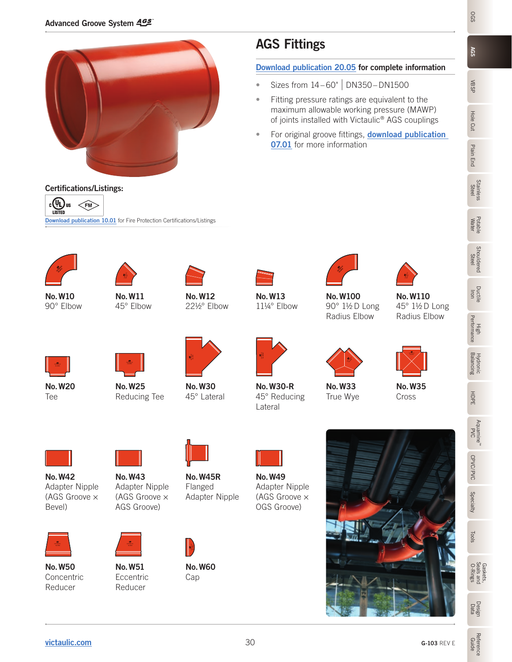

# AGS Fittings

#### [Download publication 20.05](http://static.victaulic.com/assets/uploads/literature/20.05.pdf) for complete information

- Sizes from  $14 60$ " | DN350 DN1500
- Fitting pressure ratings are equivalent to the maximum allowable working pressure (MAWP) of joints installed with Victaulic® AGS couplings
- For original groove fittings, **download publication [07.01](http://static.victaulic.com/assets/uploads/literature/07.01.pdf)** for more information



Certifications/Listings:

 $c(D)$ us  $\leq$ FM **LISTED** 

No.W10 90° Elbow



[Download publication 10.01](http://static.victaulic.com/assets/uploads/literature/10.01.pdf) for Fire Protection Certifications/Listings

No.W11 45° Elbow



No.W12 22½° Elbow



No.W100 90° 1½ D Long Radius Elbow 11¼° Elbow



No.W110 45° 1½ D Long Radius Elbow



No.W20 Tee



Reducing Tee



No.W30 45° Lateral



No.W30-R 45° Reducing Lateral



No.W33 True Wye



No.W35 Cross



No.W42 Adapter Nipple (AGS Groove × Bevel)



No.W50 Concentric Reducer





No.W51 **Eccentric** Reducer



No.W45R Flanged Adapter Nipple



No.W60 Cap



No.W49 Adapter Nipple (AGS Groove × OGS Groove)



**OGS** 

**AGS** 

Ductile Iron

HDPE Aquamine™ P<br>S

CPVC/PVC CPVC/PVC **Specialty** 



Reference Guide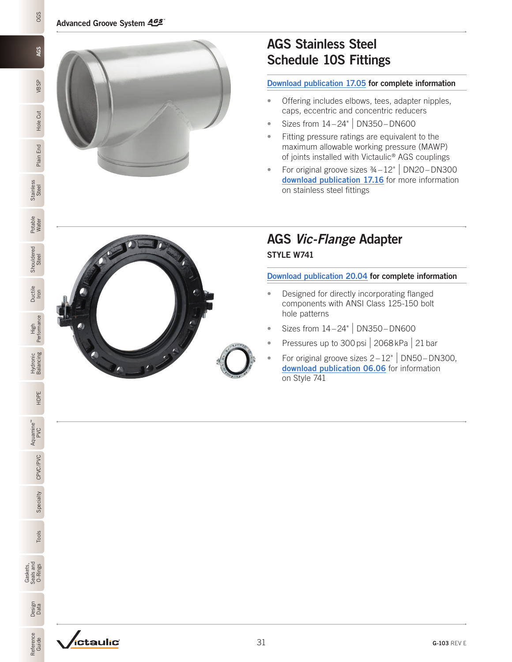

# AGS Stainless Steel Schedule 10S Fittings

#### [Download publication 17.05](http://static.victaulic.com/assets/uploads/literature/17.05.pdf) for complete information

- Offering includes elbows, tees, adapter nipples, caps, eccentric and concentric reducers
- Sizes from 14 24" | DN350 –DN600
- Fitting pressure ratings are equivalent to the maximum allowable working pressure (MAWP) of joints installed with Victaulic® AGS couplings
- For original groove sizes  $\frac{3}{4} 12$ " | DN20 DN300 [download publication 17.16](http://static.victaulic.com/assets/uploads/literature/17.16.pdf) for more information on stainless steel fittings

## AGS *Vic-Flange* Adapter STYLE W741

[Download publication 20.04](http://static.victaulic.com/assets/uploads/literature/20.04.pdf) for complete information

- Designed for directly incorporating flanged components with ANSI Class 125-150 bolt hole patterns
- Sizes from  $14 24$ " | DN350 DN600
- Pressures up to 300 psi | 2068 kPa | 21 bar
- For original groove sizes  $2-12"$  DN50-DN300, [download publication 06.06](http://static.victaulic.com/assets/uploads/literature/06.06.pdf) for information on Style 741

Hole Cut

**OGS** 

AGS

VBSP

Plain End

Steel Mater Nater Steel Steel Steel Steel Steel Steel Steel Steel Steel Steel Steel Steel Steel Steel Steel Steel Steel Steel Steel Steel Steel Steel Steel Steel Steel Steel Steel Steel Steel Steel Steel Steel Steel Steel

**Stainless** 

Potable Water

**Shouldered** 

Ductile Iron

**Performance** 

Hydronic Balancing

HDPE

Aquamine™ PVC

CPVC/PVC

Specialty CPVC/PVC

Gaskets, Seals and O-Rings

Data D-Rings Tools

Tools

Design<br>Data

Reference Reference<br>Guide

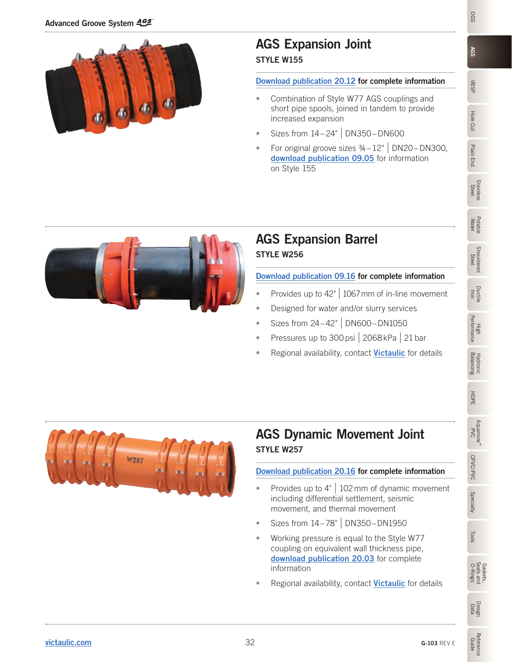

### AGS Expansion Joint STYLE W155

#### [Download publication 20.12](http://static.victaulic.com/assets/uploads/literature/20.12.pdf) for complete information

- Combination of Style W77 AGS couplings and short pipe spools, joined in tandem to provide increased expansion
- Sizes from 14 24" | DN350 –DN600
- For original groove sizes  $\frac{3}{4} 12$ " | DN20 DN300, [download publication 09.05](http://static.victaulic.com/assets/uploads/literature/09.05.pdf) for information on Style 155



### AGS Expansion Barrel STYLE W256

### [Download publication 09.16](http://static.victaulic.com/assets/uploads/literature/09.16.pdf) for complete information

- Provides up to  $42$ " | 1067 mm of in-line movement
- Designed for water and/or slurry services
- Sizes from 24–42" | DN600–DN1050
- Pressures up to 300 psi | 2068 kPa | 21 bar
- Regional availability, contact [Victaulic](mailto:pickvic%40victaulic.com?subject=Regional%20availability) for details



# AGS Dynamic Movement Joint STYLE W257

# [Download publication 20.16](http://static.victaulic.com/assets/uploads/literature/20.16.pdf) for complete information

- Provides up to  $4"$  102 mm of dynamic movement including differential settlement, seismic movement, and thermal movement
- Sizes from 14–78" | DN350–DN1950
- Working pressure is equal to the Style W77 coupling on equivalent wall thickness pipe, [download publication 20.03](http://static.victaulic.com/assets/uploads/literature/20.03.pdf) for complete information
- Regional availability, contact [Victaulic](mailto:pickvic%40victaulic.com?subject=Regional%20availability) for details

**AGS** 

VBSP

Hole Cut

Plain End

Plain End

Stainless Stainless<br>Steel

Potable<br>Water

Potable Shouldered

**Shouldered**<br>Steel

Ductile Iron

High<br>Performance Performance

Balancing Hydronic

HDPE

Aquamine™ P<br>S

CPVC/PVC

CPVC/PVC

Specialty

Tools

O-Rings Gaskets, Seals and

Data Tools

Design

Reference Guide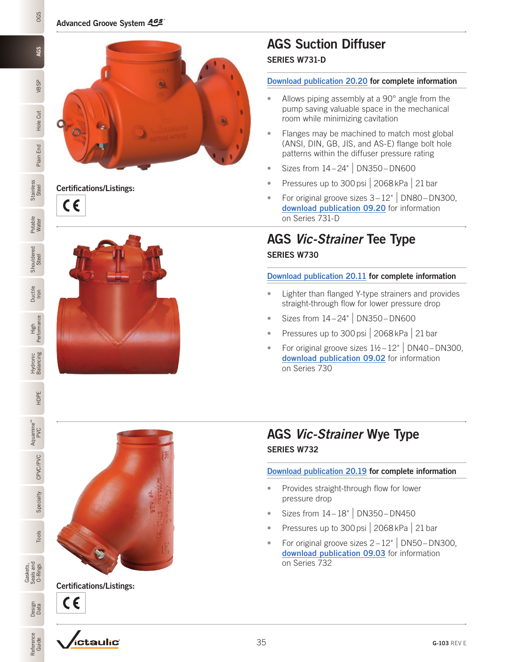

Certifications/Listings:  $\epsilon$ 



### AGS Suction Diffuser SERIES W731-D

#### [Download publication 20.20](http://static.victaulic.com/assets/uploads/literature/20.20.pdf) for complete information

- Allows piping assembly at a 90° angle from the pump saving valuable space in the mechanical room while minimizing cavitation
- Flanges may be machined to match most global (ANSI, DIN, GB, JIS, and AS-E) flange bolt hole patterns within the diffuser pressure rating
- Sizes from 14 24" | DN350 –DN600
- Pressures up to 300 psi | 2068 kPa | 21 bar
- For original groove sizes  $3-12$ " | DN80 DN300, [download publication 09.20](http://static.victaulic.com/assets/uploads/literature/09.20.pdf) for information on Series 731-D

# AGS *Vic-Strainer* Tee Type SERIES W730

### [Download publication 20.11](http://static.victaulic.com/assets/uploads/literature/20.11.pdf) for complete information

- Lighter than flanged Y-type strainers and provides straight-through flow for lower pressure drop
- Sizes from  $14 24$ " | DN350 DN600
- Pressures up to 300 psi  $\vert$  2068 kPa  $\vert$  21 bar
- For original groove sizes  $1½-12"$  DN40-DN300. [download publication 09.02](http://static.victaulic.com/assets/uploads/literature/09.02.pdf) for information on Series 730

## AGS *Vic-Strainer* Wye Type SERIES W732

### [Download publication 20.19](http://static.victaulic.com/assets/uploads/literature/20.19.pdf) for complete information

- Provides straight-through flow for lower pressure drop
- Sizes from  $14 18$ " | DN350 DN450
- Pressures up to 300 psi | 2068 kPa | 21 bar
- For original groove sizes  $2-12$ " | DN50 DN300, [download publication 09.03](http://static.victaulic.com/assets/uploads/literature/09.03.pdf) for information on Series 732





Certifications/Listings: CE

*ictaulic*°

Hole Cut

**OGS** 

**AGS** 

VBSP

Plain End

**Performance** 

HDPE

PVC

CPVC/PVC

CPVC/PVC

Specialty

Design<br>Data

Reference Reference<br>Guide

Steel Mater Steel Steel Steel Steel Steel Steel Steel Steel Steel Steel Steel Steel Steel Steel Steel Steel Steel Steel Steel Steel Steel Steel Steel Steel Steel Steel Steel Steel Steel Steel Steel Steel Steel Steel Steel